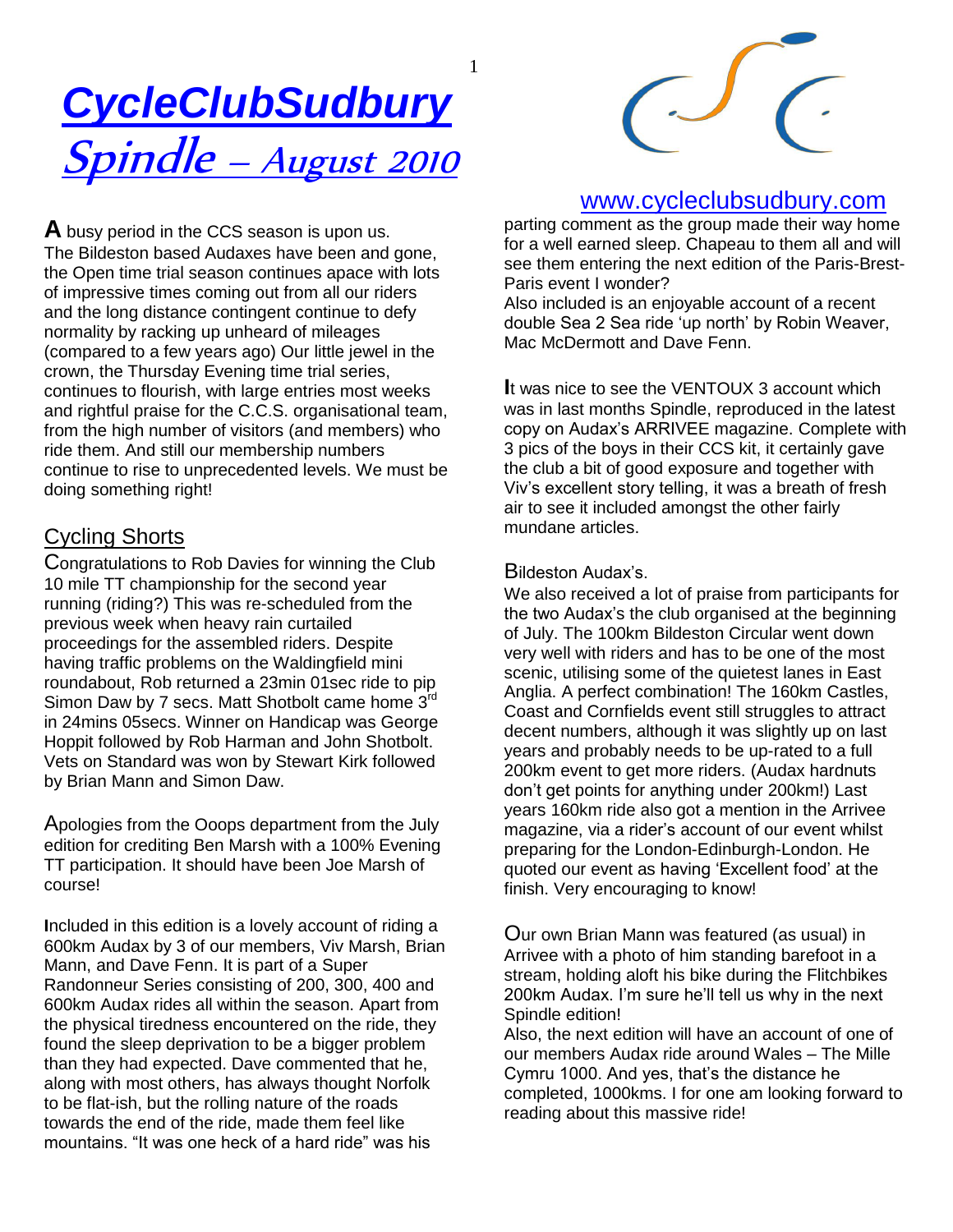# *CycleClubSudbury*  Spindle – August <sup>2010</sup>



# Cycling Shorts

Congratulations to Rob Davies for winning the Club 10 mile TT championship for the second year running (riding?) This was re-scheduled from the previous week when heavy rain curtailed proceedings for the assembled riders. Despite having traffic problems on the Waldingfield mini roundabout, Rob returned a 23min 01sec ride to pip Simon Daw by 7 secs. Matt Shotbolt came home 3rd in 24mins 05secs. Winner on Handicap was George Hoppit followed by Rob Harman and John Shotbolt. Vets on Standard was won by Stewart Kirk followed by Brian Mann and Simon Daw.

Apologies from the Ooops department from the July edition for crediting Ben Marsh with a 100% Evening TT participation. It should have been Joe Marsh of course!

**I**ncluded in this edition is a lovely account of riding a 600km Audax by 3 of our members, Viv Marsh, Brian Mann, and Dave Fenn. It is part of a Super Randonneur Series consisting of 200, 300, 400 and 600km Audax rides all within the season. Apart from the physical tiredness encountered on the ride, they found the sleep deprivation to be a bigger problem than they had expected. Dave commented that he, along with most others, has always thought Norfolk to be flat-ish, but the rolling nature of the roads towards the end of the ride, made them feel like mountains. "It was one heck of a hard ride" was his



## www.cycleclubsudbury.com

parting comment as the group made their way home for a well earned sleep. Chapeau to them all and will see them entering the next edition of the Paris-Brest-Paris event I wonder?

Also included is an enjoyable account of a recent double Sea 2 Sea ride "up north" by Robin Weaver, Mac McDermott and Dave Fenn.

**I**t was nice to see the VENTOUX 3 account which was in last months Spindle, reproduced in the latest copy on Audax"s ARRIVEE magazine. Complete with 3 pics of the boys in their CCS kit, it certainly gave the club a bit of good exposure and together with Viv"s excellent story telling, it was a breath of fresh air to see it included amongst the other fairly mundane articles.

#### Bildeston Audax's.

We also received a lot of praise from participants for the two Audax"s the club organised at the beginning of July. The 100km Bildeston Circular went down very well with riders and has to be one of the most scenic, utilising some of the quietest lanes in East Anglia. A perfect combination! The 160km Castles, Coast and Cornfields event still struggles to attract decent numbers, although it was slightly up on last years and probably needs to be up-rated to a full 200km event to get more riders. (Audax hardnuts don"t get points for anything under 200km!) Last years 160km ride also got a mention in the Arrivee magazine, via a rider"s account of our event whilst preparing for the London-Edinburgh-London. He quoted our event as having "Excellent food" at the finish. Very encouraging to know!

Our own Brian Mann was featured (as usual) in Arrivee with a photo of him standing barefoot in a stream, holding aloft his bike during the Flitchbikes 200km Audax. I"m sure he"ll tell us why in the next Spindle edition!

Also, the next edition will have an account of one of our members Audax ride around Wales – The Mille Cymru 1000. And yes, that"s the distance he completed, 1000kms. I for one am looking forward to reading about this massive ride!

1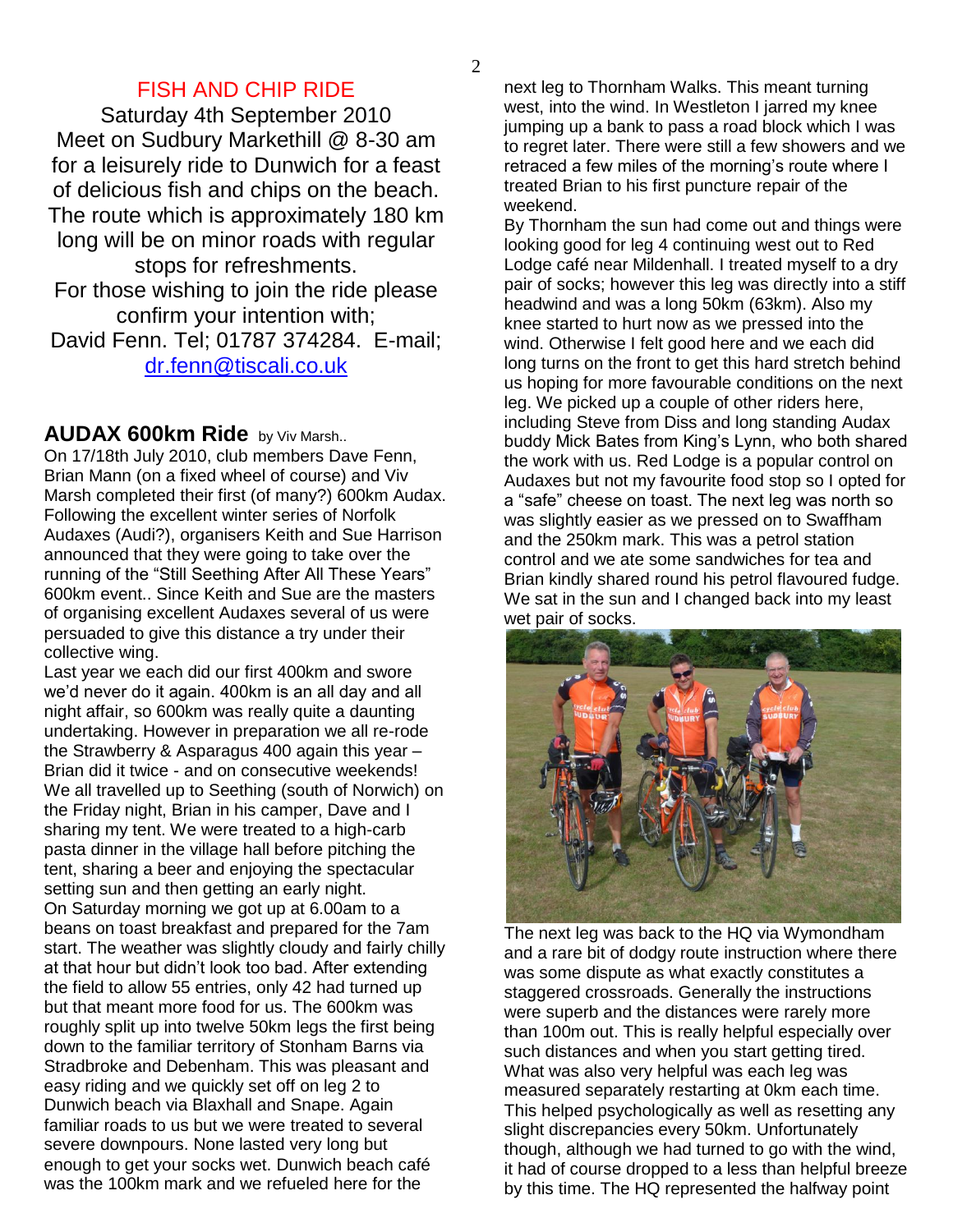## FISH AND CHIP RIDE

Saturday 4th September 2010 Meet on Sudbury Markethill @ 8-30 am for a leisurely ride to Dunwich for a feast of delicious fish and chips on the beach. The route which is approximately 180 km long will be on minor roads with regular stops for refreshments. For those wishing to join the ride please confirm your intention with;

David Fenn. Tel; 01787 374284. E-mail; [dr.fenn@tiscali.co.uk](mailto:dr.fenn@tiscali.co.uk)

### **AUDAX 600km Ride** by Viv Marsh..

On 17/18th July 2010, club members Dave Fenn, Brian Mann (on a fixed wheel of course) and Viv Marsh completed their first (of many?) 600km Audax. Following the excellent winter series of Norfolk Audaxes (Audi?), organisers Keith and Sue Harrison announced that they were going to take over the running of the "Still Seething After All These Years" 600km event.. Since Keith and Sue are the masters of organising excellent Audaxes several of us were persuaded to give this distance a try under their collective wing.

Last year we each did our first 400km and swore we"d never do it again. 400km is an all day and all night affair, so 600km was really quite a daunting undertaking. However in preparation we all re-rode the Strawberry & Asparagus 400 again this year – Brian did it twice - and on consecutive weekends! We all travelled up to Seething (south of Norwich) on the Friday night, Brian in his camper, Dave and I sharing my tent. We were treated to a high-carb pasta dinner in the village hall before pitching the tent, sharing a beer and enjoying the spectacular setting sun and then getting an early night. On Saturday morning we got up at 6.00am to a beans on toast breakfast and prepared for the 7am start. The weather was slightly cloudy and fairly chilly at that hour but didn"t look too bad. After extending the field to allow 55 entries, only 42 had turned up but that meant more food for us. The 600km was roughly split up into twelve 50km legs the first being down to the familiar territory of Stonham Barns via Stradbroke and Debenham. This was pleasant and easy riding and we quickly set off on leg 2 to Dunwich beach via Blaxhall and Snape. Again familiar roads to us but we were treated to several severe downpours. None lasted very long but enough to get your socks wet. Dunwich beach café was the 100km mark and we refueled here for the

next leg to Thornham Walks. This meant turning west, into the wind. In Westleton I jarred my knee jumping up a bank to pass a road block which I was to regret later. There were still a few showers and we retraced a few miles of the morning's route where I treated Brian to his first puncture repair of the weekend.

By Thornham the sun had come out and things were looking good for leg 4 continuing west out to Red Lodge café near Mildenhall. I treated myself to a dry pair of socks; however this leg was directly into a stiff headwind and was a long 50km (63km). Also my knee started to hurt now as we pressed into the wind. Otherwise I felt good here and we each did long turns on the front to get this hard stretch behind us hoping for more favourable conditions on the next leg. We picked up a couple of other riders here, including Steve from Diss and long standing Audax buddy Mick Bates from King"s Lynn, who both shared the work with us. Red Lodge is a popular control on Audaxes but not my favourite food stop so I opted for a "safe" cheese on toast. The next leg was north so was slightly easier as we pressed on to Swaffham and the 250km mark. This was a petrol station control and we ate some sandwiches for tea and Brian kindly shared round his petrol flavoured fudge. We sat in the sun and I changed back into my least wet pair of socks.



The next leg was back to the HQ via Wymondham and a rare bit of dodgy route instruction where there was some dispute as what exactly constitutes a staggered crossroads. Generally the instructions were superb and the distances were rarely more than 100m out. This is really helpful especially over such distances and when you start getting tired. What was also very helpful was each leg was measured separately restarting at 0km each time. This helped psychologically as well as resetting any slight discrepancies every 50km. Unfortunately though, although we had turned to go with the wind, it had of course dropped to a less than helpful breeze by this time. The HQ represented the halfway point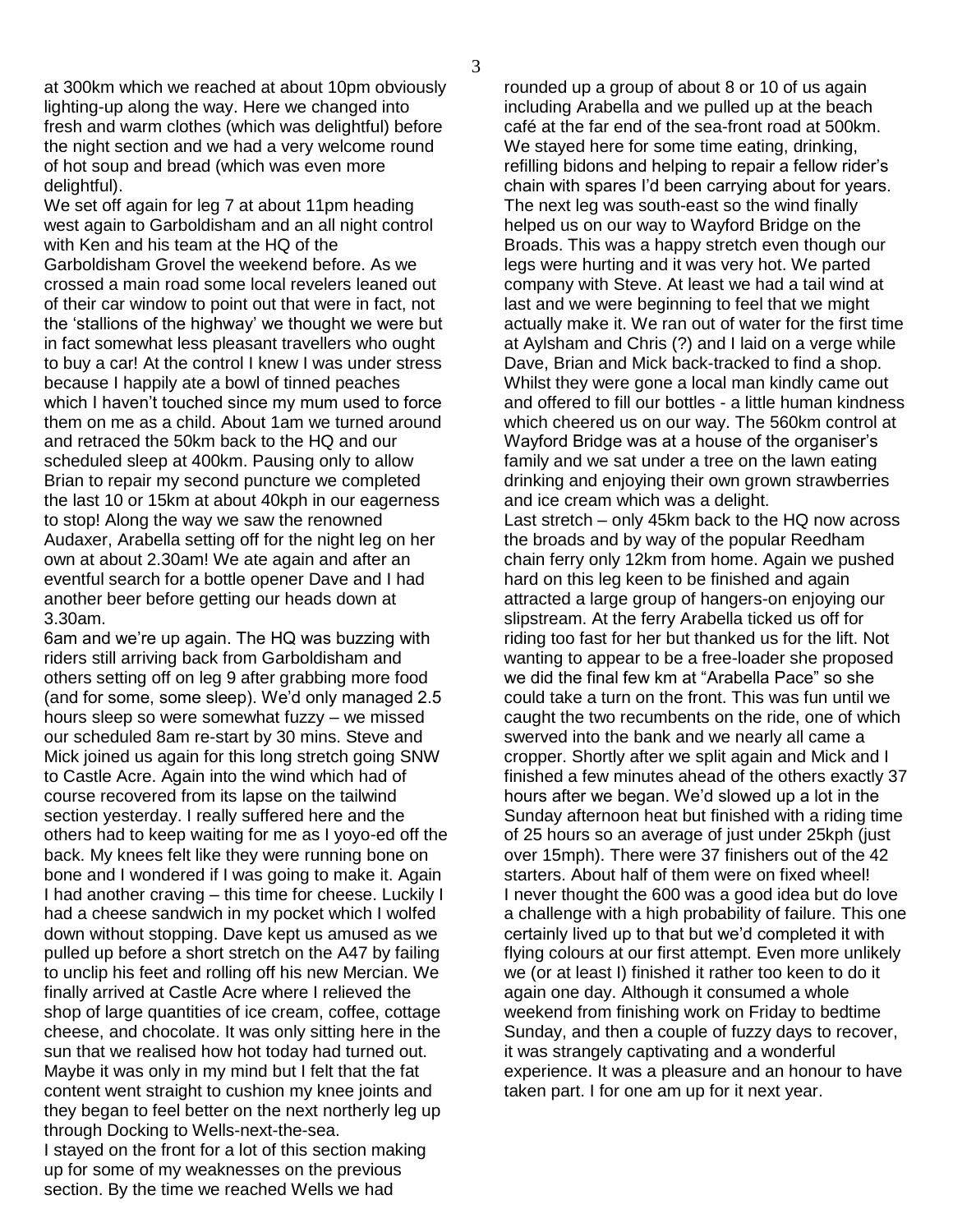at 300km which we reached at about 10pm obviously lighting-up along the way. Here we changed into fresh and warm clothes (which was delightful) before the night section and we had a very welcome round of hot soup and bread (which was even more delightful).

We set off again for leg 7 at about 11pm heading west again to Garboldisham and an all night control with Ken and his team at the HQ of the Garboldisham Grovel the weekend before. As we crossed a main road some local revelers leaned out of their car window to point out that were in fact, not the "stallions of the highway" we thought we were but in fact somewhat less pleasant travellers who ought to buy a car! At the control I knew I was under stress because I happily ate a bowl of tinned peaches which I haven't touched since my mum used to force them on me as a child. About 1am we turned around and retraced the 50km back to the HQ and our scheduled sleep at 400km. Pausing only to allow Brian to repair my second puncture we completed the last 10 or 15km at about 40kph in our eagerness to stop! Along the way we saw the renowned Audaxer, Arabella setting off for the night leg on her own at about 2.30am! We ate again and after an eventful search for a bottle opener Dave and I had another beer before getting our heads down at 3.30am.

6am and we"re up again. The HQ was buzzing with riders still arriving back from Garboldisham and others setting off on leg 9 after grabbing more food (and for some, some sleep). We"d only managed 2.5 hours sleep so were somewhat fuzzy – we missed our scheduled 8am re-start by 30 mins. Steve and Mick joined us again for this long stretch going SNW to Castle Acre. Again into the wind which had of course recovered from its lapse on the tailwind section yesterday. I really suffered here and the others had to keep waiting for me as I yoyo-ed off the back. My knees felt like they were running bone on bone and I wondered if I was going to make it. Again I had another craving – this time for cheese. Luckily I had a cheese sandwich in my pocket which I wolfed down without stopping. Dave kept us amused as we pulled up before a short stretch on the A47 by failing to unclip his feet and rolling off his new Mercian. We finally arrived at Castle Acre where I relieved the shop of large quantities of ice cream, coffee, cottage cheese, and chocolate. It was only sitting here in the sun that we realised how hot today had turned out. Maybe it was only in my mind but I felt that the fat content went straight to cushion my knee joints and they began to feel better on the next northerly leg up through Docking to Wells-next-the-sea. I stayed on the front for a lot of this section making up for some of my weaknesses on the previous section. By the time we reached Wells we had

rounded up a group of about 8 or 10 of us again including Arabella and we pulled up at the beach café at the far end of the sea-front road at 500km. We stayed here for some time eating, drinking, refilling bidons and helping to repair a fellow rider"s chain with spares I"d been carrying about for years. The next leg was south-east so the wind finally helped us on our way to Wayford Bridge on the Broads. This was a happy stretch even though our legs were hurting and it was very hot. We parted company with Steve. At least we had a tail wind at last and we were beginning to feel that we might actually make it. We ran out of water for the first time at Aylsham and Chris (?) and I laid on a verge while Dave, Brian and Mick back-tracked to find a shop. Whilst they were gone a local man kindly came out and offered to fill our bottles - a little human kindness which cheered us on our way. The 560km control at Wayford Bridge was at a house of the organiser"s family and we sat under a tree on the lawn eating drinking and enjoying their own grown strawberries and ice cream which was a delight. Last stretch – only 45km back to the HQ now across

the broads and by way of the popular Reedham chain ferry only 12km from home. Again we pushed hard on this leg keen to be finished and again attracted a large group of hangers-on enjoying our slipstream. At the ferry Arabella ticked us off for riding too fast for her but thanked us for the lift. Not wanting to appear to be a free-loader she proposed we did the final few km at "Arabella Pace" so she could take a turn on the front. This was fun until we caught the two recumbents on the ride, one of which swerved into the bank and we nearly all came a cropper. Shortly after we split again and Mick and I finished a few minutes ahead of the others exactly 37 hours after we began. We"d slowed up a lot in the Sunday afternoon heat but finished with a riding time of 25 hours so an average of just under 25kph (just over 15mph). There were 37 finishers out of the 42 starters. About half of them were on fixed wheel! I never thought the 600 was a good idea but do love a challenge with a high probability of failure. This one certainly lived up to that but we"d completed it with flying colours at our first attempt. Even more unlikely we (or at least I) finished it rather too keen to do it again one day. Although it consumed a whole weekend from finishing work on Friday to bedtime Sunday, and then a couple of fuzzy days to recover, it was strangely captivating and a wonderful experience. It was a pleasure and an honour to have taken part. I for one am up for it next year.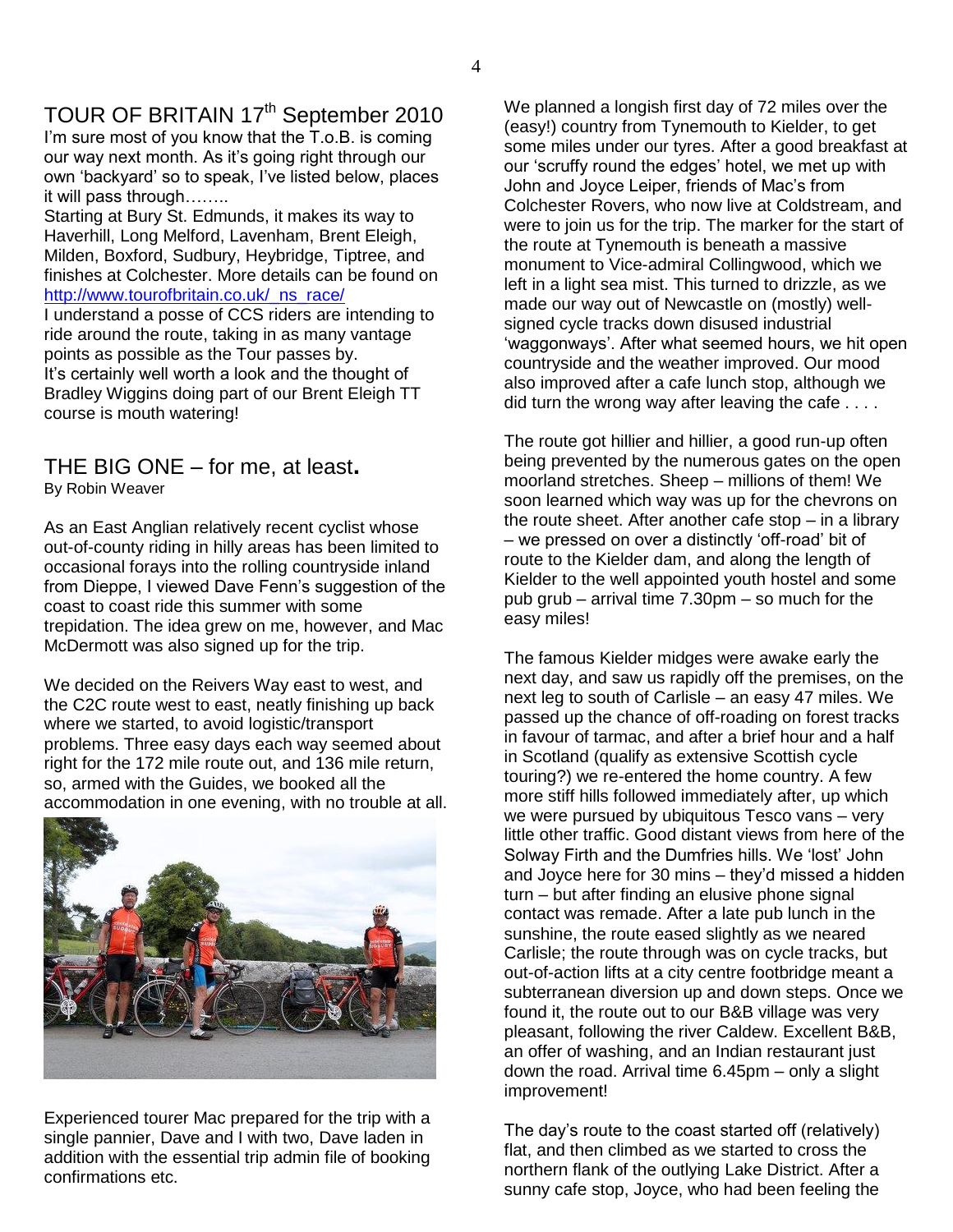# TOUR OF BRITAIN 17<sup>th</sup> September 2010

I'm sure most of you know that the T.o.B. is coming our way next month. As it"s going right through our own "backyard" so to speak, I"ve listed below, places it will pass through……..

Starting at Bury St. Edmunds, it makes its way to Haverhill, Long Melford, Lavenham, Brent Eleigh, Milden, Boxford, Sudbury, Heybridge, Tiptree, and finishes at Colchester. More details can be found on http://www.tourofbritain.co.uk/ ns\_race/

I understand a posse of CCS riders are intending to ride around the route, taking in as many vantage points as possible as the Tour passes by. It"s certainly well worth a look and the thought of Bradley Wiggins doing part of our Brent Eleigh TT course is mouth watering!

#### THE BIG ONE – for me, at least**.** By Robin Weaver

As an East Anglian relatively recent cyclist whose out-of-county riding in hilly areas has been limited to occasional forays into the rolling countryside inland from Dieppe, I viewed Dave Fenn"s suggestion of the coast to coast ride this summer with some trepidation. The idea grew on me, however, and Mac McDermott was also signed up for the trip.

We decided on the Reivers Way east to west, and the C2C route west to east, neatly finishing up back where we started, to avoid logistic/transport problems. Three easy days each way seemed about right for the 172 mile route out, and 136 mile return, so, armed with the Guides, we booked all the accommodation in one evening, with no trouble at all.



Experienced tourer Mac prepared for the trip with a single pannier, Dave and I with two, Dave laden in addition with the essential trip admin file of booking confirmations etc.

We planned a longish first day of 72 miles over the (easy!) country from Tynemouth to Kielder, to get some miles under our tyres. After a good breakfast at our "scruffy round the edges" hotel, we met up with John and Joyce Leiper, friends of Mac"s from Colchester Rovers, who now live at Coldstream, and were to join us for the trip. The marker for the start of the route at Tynemouth is beneath a massive monument to Vice-admiral Collingwood, which we left in a light sea mist. This turned to drizzle, as we made our way out of Newcastle on (mostly) wellsigned cycle tracks down disused industrial 'waggonways'. After what seemed hours, we hit open countryside and the weather improved. Our mood also improved after a cafe lunch stop, although we did turn the wrong way after leaving the cafe . . . .

The route got hillier and hillier, a good run-up often being prevented by the numerous gates on the open moorland stretches. Sheep – millions of them! We soon learned which way was up for the chevrons on the route sheet. After another cafe stop – in a library – we pressed on over a distinctly "off-road" bit of route to the Kielder dam, and along the length of Kielder to the well appointed youth hostel and some pub grub – arrival time 7.30pm – so much for the easy miles!

The famous Kielder midges were awake early the next day, and saw us rapidly off the premises, on the next leg to south of Carlisle – an easy 47 miles. We passed up the chance of off-roading on forest tracks in favour of tarmac, and after a brief hour and a half in Scotland (qualify as extensive Scottish cycle touring?) we re-entered the home country. A few more stiff hills followed immediately after, up which we were pursued by ubiquitous Tesco vans – very little other traffic. Good distant views from here of the Solway Firth and the Dumfries hills. We "lost" John and Joyce here for 30 mins – they"d missed a hidden turn – but after finding an elusive phone signal contact was remade. After a late pub lunch in the sunshine, the route eased slightly as we neared Carlisle; the route through was on cycle tracks, but out-of-action lifts at a city centre footbridge meant a subterranean diversion up and down steps. Once we found it, the route out to our B&B village was very pleasant, following the river Caldew. Excellent B&B, an offer of washing, and an Indian restaurant just down the road. Arrival time 6.45pm – only a slight improvement!

The day"s route to the coast started off (relatively) flat, and then climbed as we started to cross the northern flank of the outlying Lake District. After a sunny cafe stop, Joyce, who had been feeling the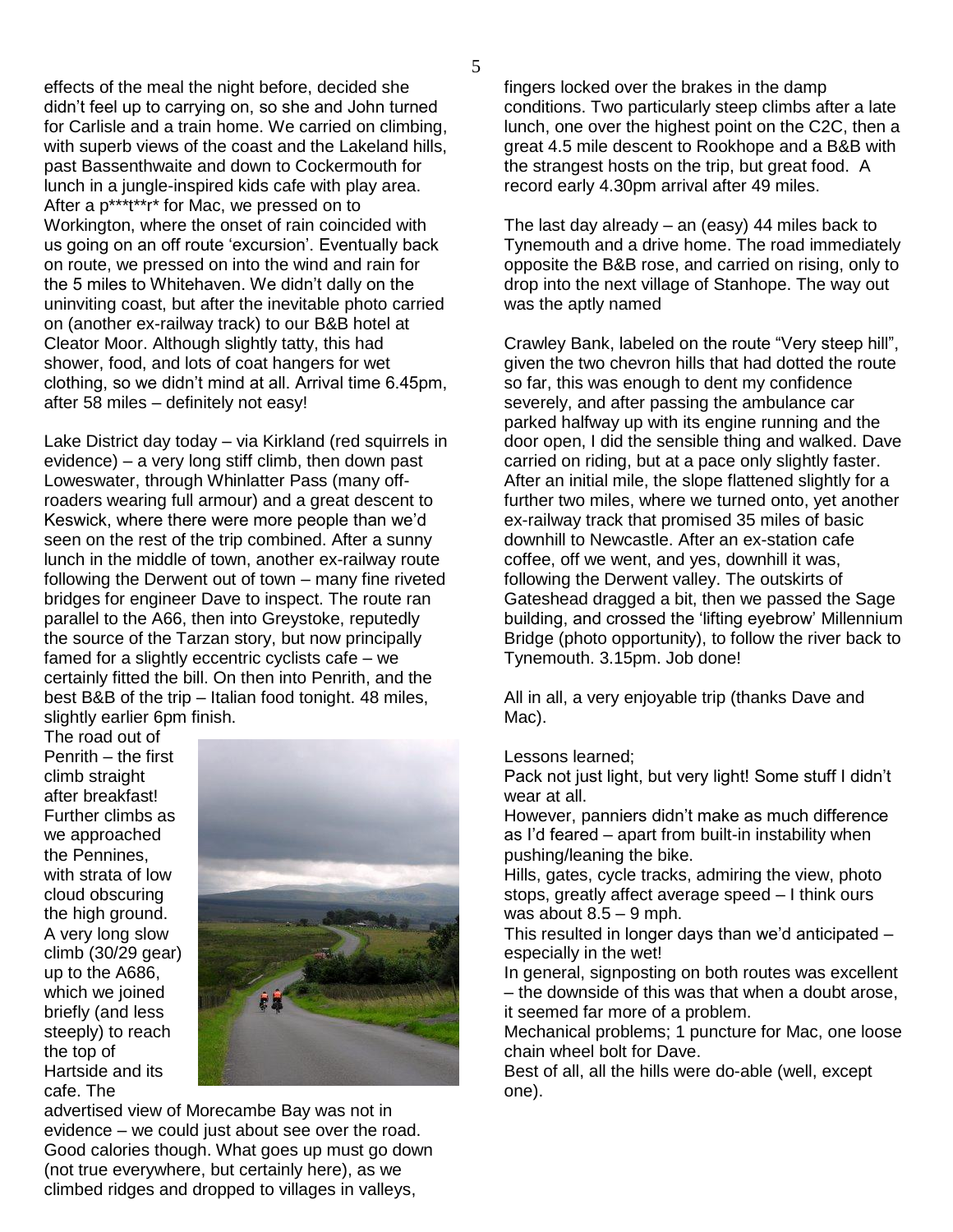effects of the meal the night before, decided she didn"t feel up to carrying on, so she and John turned for Carlisle and a train home. We carried on climbing, with superb views of the coast and the Lakeland hills, past Bassenthwaite and down to Cockermouth for lunch in a jungle-inspired kids cafe with play area. After a p\*\*\*t\*\*r\* for Mac, we pressed on to Workington, where the onset of rain coincided with us going on an off route "excursion". Eventually back on route, we pressed on into the wind and rain for the 5 miles to Whitehaven. We didn"t dally on the uninviting coast, but after the inevitable photo carried on (another ex-railway track) to our B&B hotel at Cleator Moor. Although slightly tatty, this had shower, food, and lots of coat hangers for wet clothing, so we didn"t mind at all. Arrival time 6.45pm, after 58 miles – definitely not easy!

Lake District day today – via Kirkland (red squirrels in evidence) – a very long stiff climb, then down past Loweswater, through Whinlatter Pass (many offroaders wearing full armour) and a great descent to Keswick, where there were more people than we"d seen on the rest of the trip combined. After a sunny lunch in the middle of town, another ex-railway route following the Derwent out of town – many fine riveted bridges for engineer Dave to inspect. The route ran parallel to the A66, then into Greystoke, reputedly the source of the Tarzan story, but now principally famed for a slightly eccentric cyclists cafe – we certainly fitted the bill. On then into Penrith, and the best B&B of the trip – Italian food tonight. 48 miles, slightly earlier 6pm finish.

The road out of Penrith – the first climb straight after breakfast! Further climbs as we approached the Pennines, with strata of low cloud obscuring the high ground. A very long slow climb (30/29 gear) up to the A686, which we joined briefly (and less steeply) to reach the top of Hartside and its cafe. The



advertised view of Morecambe Bay was not in evidence – we could just about see over the road. Good calories though. What goes up must go down (not true everywhere, but certainly here), as we climbed ridges and dropped to villages in valleys,

fingers locked over the brakes in the damp conditions. Two particularly steep climbs after a late lunch, one over the highest point on the C2C, then a great 4.5 mile descent to Rookhope and a B&B with the strangest hosts on the trip, but great food. A record early 4.30pm arrival after 49 miles.

The last day already – an (easy) 44 miles back to Tynemouth and a drive home. The road immediately opposite the B&B rose, and carried on rising, only to drop into the next village of Stanhope. The way out was the aptly named

Crawley Bank, labeled on the route "Very steep hill", given the two chevron hills that had dotted the route so far, this was enough to dent my confidence severely, and after passing the ambulance car parked halfway up with its engine running and the door open, I did the sensible thing and walked. Dave carried on riding, but at a pace only slightly faster. After an initial mile, the slope flattened slightly for a further two miles, where we turned onto, yet another ex-railway track that promised 35 miles of basic downhill to Newcastle. After an ex-station cafe coffee, off we went, and yes, downhill it was, following the Derwent valley. The outskirts of Gateshead dragged a bit, then we passed the Sage building, and crossed the "lifting eyebrow" Millennium Bridge (photo opportunity), to follow the river back to Tynemouth. 3.15pm. Job done!

All in all, a very enjoyable trip (thanks Dave and Mac).

Lessons learned;

Pack not just light, but very light! Some stuff I didn't wear at all.

However, panniers didn"t make as much difference as I"d feared – apart from built-in instability when pushing/leaning the bike.

Hills, gates, cycle tracks, admiring the view, photo stops, greatly affect average speed – I think ours was about  $8.5 - 9$  mph.

This resulted in longer days than we"d anticipated – especially in the wet!

In general, signposting on both routes was excellent – the downside of this was that when a doubt arose, it seemed far more of a problem.

Mechanical problems; 1 puncture for Mac, one loose chain wheel bolt for Dave.

Best of all, all the hills were do-able (well, except one).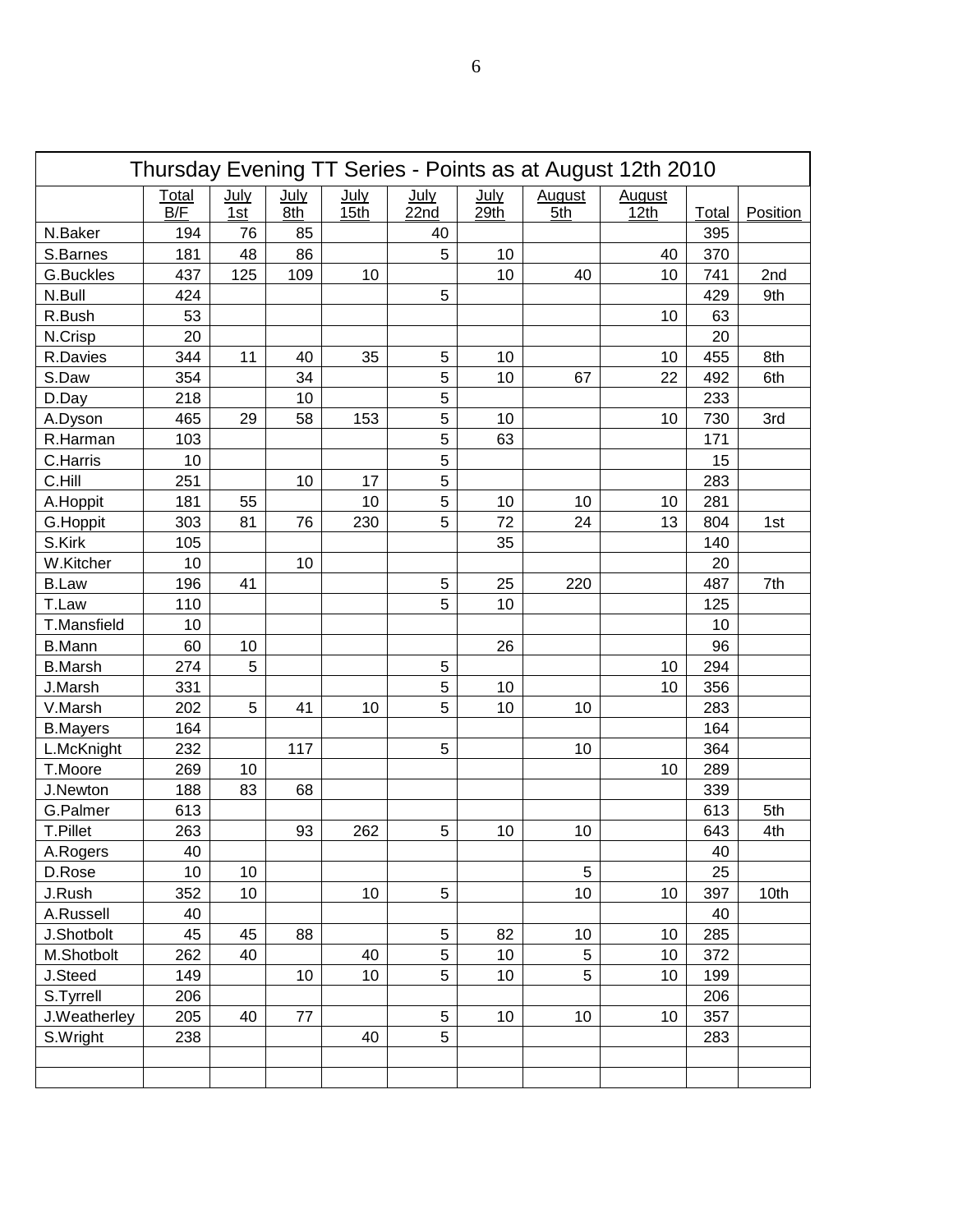| Thursday Evening TT Series - Points as at August 12th 2010 |                     |                    |             |                          |                          |              |                      |                       |       |          |
|------------------------------------------------------------|---------------------|--------------------|-------------|--------------------------|--------------------------|--------------|----------------------|-----------------------|-------|----------|
|                                                            | <b>Total</b><br>B/F | <u>July</u><br>1st | July<br>8th | July<br>15 <sub>th</sub> | July<br>22n <sub>d</sub> | July<br>29th | <b>August</b><br>5th | <b>August</b><br>12th | Total | Position |
| N.Baker                                                    | 194                 | 76                 | 85          |                          | 40                       |              |                      |                       | 395   |          |
| S.Barnes                                                   | 181                 | 48                 | 86          |                          | 5                        | 10           |                      | 40                    | 370   |          |
| G.Buckles                                                  | 437                 | 125                | 109         | 10                       |                          | 10           | 40                   | 10                    | 741   | 2nd      |
| N.Bull                                                     | 424                 |                    |             |                          | 5                        |              |                      |                       | 429   | 9th      |
| R.Bush                                                     | 53                  |                    |             |                          |                          |              |                      | 10                    | 63    |          |
| N.Crisp                                                    | 20                  |                    |             |                          |                          |              |                      |                       | 20    |          |
| R.Davies                                                   | 344                 | 11                 | 40          | 35                       | 5                        | 10           |                      | 10                    | 455   | 8th      |
| S.Daw                                                      | 354                 |                    | 34          |                          | 5                        | 10           | 67                   | 22                    | 492   | 6th      |
| D.Day                                                      | 218                 |                    | 10          |                          | 5                        |              |                      |                       | 233   |          |
| A.Dyson                                                    | 465                 | 29                 | 58          | 153                      | 5                        | 10           |                      | 10                    | 730   | 3rd      |
| R.Harman                                                   | 103                 |                    |             |                          | 5                        | 63           |                      |                       | 171   |          |
| C.Harris                                                   | 10                  |                    |             |                          | 5                        |              |                      |                       | 15    |          |
| C.Hill                                                     | 251                 |                    | 10          | 17                       | 5                        |              |                      |                       | 283   |          |
| A.Hoppit                                                   | 181                 | 55                 |             | 10                       | 5                        | 10           | 10                   | 10                    | 281   |          |
| G.Hoppit                                                   | 303                 | 81                 | 76          | 230                      | 5                        | 72           | 24                   | 13                    | 804   | 1st      |
| S.Kirk                                                     | 105                 |                    |             |                          |                          | 35           |                      |                       | 140   |          |
| W.Kitcher                                                  | 10                  |                    | 10          |                          |                          |              |                      |                       | 20    |          |
| <b>B.Law</b>                                               | 196                 | 41                 |             |                          | 5                        | 25           | 220                  |                       | 487   | 7th      |
| T.Law                                                      | 110                 |                    |             |                          | 5                        | 10           |                      |                       | 125   |          |
| T.Mansfield                                                | 10                  |                    |             |                          |                          |              |                      |                       | 10    |          |
| <b>B.Mann</b>                                              | 60                  | 10                 |             |                          |                          | 26           |                      |                       | 96    |          |
| <b>B.Marsh</b>                                             | 274                 | 5                  |             |                          | 5                        |              |                      | 10                    | 294   |          |
| J.Marsh                                                    | 331                 |                    |             |                          | 5                        | 10           |                      | 10                    | 356   |          |
| V.Marsh                                                    | 202                 | 5                  | 41          | 10                       | 5                        | 10           | 10                   |                       | 283   |          |
| <b>B.Mayers</b>                                            | 164                 |                    |             |                          |                          |              |                      |                       | 164   |          |
| L.McKnight                                                 | 232                 |                    | 117         |                          | 5                        |              | 10                   |                       | 364   |          |
| T.Moore                                                    | 269                 | 10                 |             |                          |                          |              |                      | 10                    | 289   |          |
| J.Newton                                                   | 188                 | 83                 | 68          |                          |                          |              |                      |                       | 339   |          |
| G.Palmer                                                   | 613                 |                    |             |                          |                          |              |                      |                       | 613   | 5th      |
| <b>T.Pillet</b>                                            | 263                 |                    | 93          | 262                      | 5                        | 10           | 10                   |                       | 643   | 4th      |
| A.Rogers                                                   | 40                  |                    |             |                          |                          |              |                      |                       | 40    |          |
| D.Rose                                                     | 10                  | 10                 |             |                          |                          |              | 5                    |                       | 25    |          |
| J.Rush                                                     | 352                 | 10                 |             | 10                       | 5                        |              | 10                   | 10                    | 397   | 10th     |
| A.Russell                                                  | 40                  |                    |             |                          |                          |              |                      |                       | 40    |          |
| J.Shotbolt                                                 | 45                  | 45                 | 88          |                          | 5                        | 82           | 10                   | 10                    | 285   |          |
| M.Shotbolt                                                 | 262                 | 40                 |             | 40                       | 5                        | 10           | 5                    | 10                    | 372   |          |
| J.Steed                                                    | 149                 |                    | 10          | 10                       | 5                        | 10           | 5                    | 10                    | 199   |          |
| S.Tyrrell                                                  | 206                 |                    |             |                          |                          |              |                      |                       | 206   |          |
| J.Weatherley                                               | 205                 | 40                 | 77          |                          | 5                        | 10           | 10                   | 10                    | 357   |          |
| S.Wright                                                   | 238                 |                    |             | 40                       | 5                        |              |                      |                       | 283   |          |
|                                                            |                     |                    |             |                          |                          |              |                      |                       |       |          |
|                                                            |                     |                    |             |                          |                          |              |                      |                       |       |          |